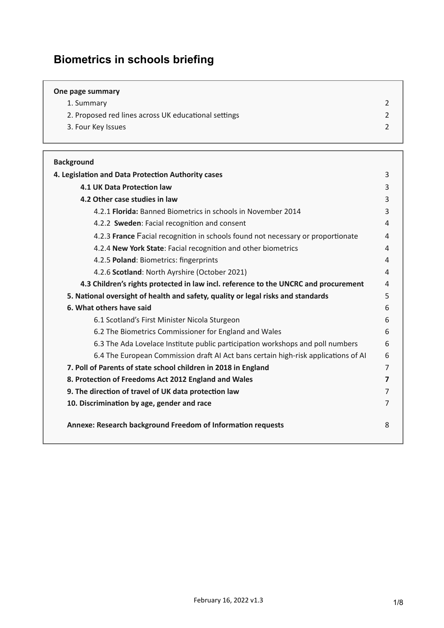# **Biometrics in schools briefing**

| One page summary                                     |  |
|------------------------------------------------------|--|
| 1. Summary                                           |  |
| 2. Proposed red lines across UK educational settings |  |
| 3. Four Key Issues                                   |  |
|                                                      |  |

| <b>Background</b>                                                                   |                         |  |  |  |
|-------------------------------------------------------------------------------------|-------------------------|--|--|--|
| 4. Legislation and Data Protection Authority cases                                  |                         |  |  |  |
| 4.1 UK Data Protection law                                                          |                         |  |  |  |
| 4.2 Other case studies in law                                                       |                         |  |  |  |
| 4.2.1 Florida: Banned Biometrics in schools in November 2014                        | 3                       |  |  |  |
| 4.2.2 Sweden: Facial recognition and consent                                        | 4                       |  |  |  |
| 4.2.3 France Facial recognition in schools found not necessary or proportionate     | 4                       |  |  |  |
| 4.2.4 New York State: Facial recognition and other biometrics                       | 4                       |  |  |  |
| 4.2.5 Poland: Biometrics: fingerprints                                              | 4                       |  |  |  |
| 4.2.6 Scotland: North Ayrshire (October 2021)                                       | 4                       |  |  |  |
| 4.3 Children's rights protected in law incl. reference to the UNCRC and procurement | 4                       |  |  |  |
| 5. National oversight of health and safety, quality or legal risks and standards    | 5                       |  |  |  |
| 6. What others have said                                                            | 6                       |  |  |  |
| 6.1 Scotland's First Minister Nicola Sturgeon                                       | 6                       |  |  |  |
| 6.2 The Biometrics Commissioner for England and Wales                               | 6                       |  |  |  |
| 6.3 The Ada Lovelace Institute public participation workshops and poll numbers      | 6                       |  |  |  |
| 6.4 The European Commission draft AI Act bans certain high-risk applications of AI  |                         |  |  |  |
| 7. Poll of Parents of state school children in 2018 in England                      | $\overline{7}$          |  |  |  |
| 8. Protection of Freedoms Act 2012 England and Wales                                | $\overline{\mathbf{z}}$ |  |  |  |
| 9. The direction of travel of UK data protection law                                |                         |  |  |  |
| 10. Discrimination by age, gender and race                                          |                         |  |  |  |
| Annexe: Research background Freedom of Information requests                         | 8                       |  |  |  |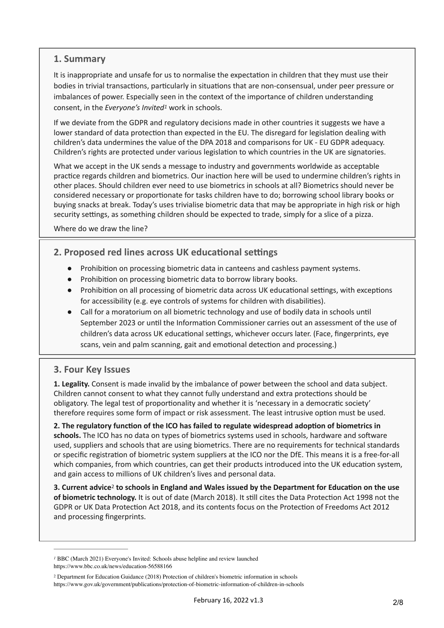### **1. Summary**

It is inappropriate and unsafe for us to normalise the expectation in children that they must use their bodies in trivial transactions, particularly in situations that are non-consensual, under peer pressure or imbalances of power. Especially seen in the context of the importance of children understanding consent, in the *Everyone's Invited<sup>[1](#page-1-2)</sup>* work in schools.

<span id="page-1-4"></span>If we deviate from the GDPR and regulatory decisions made in other countries it suggests we have a lower standard of data protection than expected in the EU. The disregard for legislation dealing with children's data undermines the value of the DPA 2018 and comparisons for UK - EU GDPR adequacy. Children's rights are protected under various legislation to which countries in the UK are signatories.

What we accept in the UK sends a message to industry and governments worldwide as acceptable practice regards children and biometrics. Our inaction here will be used to undermine children's rights in other places. Should children ever need to use biometrics in schools at all? Biometrics should never be considered necessary or proportionate for tasks children have to do; borrowing school library books or buying snacks at break. Today's uses trivialise biometric data that may be appropriate in high risk or high security settings, as something children should be expected to trade, simply for a slice of a pizza.

Where do we draw the line?

# <span id="page-1-0"></span>**2. Proposed red lines across UK educational settings**

- Prohibition on processing biometric data in canteens and cashless payment systems.
- Prohibition on processing biometric data to borrow library books.
- Prohibition on all processing of biometric data across UK educational settings, with exceptions for accessibility (e.g. eye controls of systems for children with disabilities).
- Call for a moratorium on all biometric technology and use of bodily data in schools until September 2023 or until the Information Commissioner carries out an assessment of the use of children's data across UK educational settings, whichever occurs later. (Face, fingerprints, eye scans, vein and palm scanning, gait and emotional detection and processing.)

### <span id="page-1-1"></span>**3. Four Key Issues**

**1. Legality.** Consent is made invalid by the imbalance of power between the school and data subject. Children cannot consent to what they cannot fully understand and extra protections should be obligatory. The legal test of proportionality and whether it is 'necessary in a democratic society' therefore requires some form of impact or risk assessment. The least intrusive option must be used.

**2. The regulatory function of the ICO has failed to regulate widespread adoption of biometrics in schools.** The ICO has no data on types of biometrics systems used in schools, hardware and software used, suppliers and schools that are using biometrics. There are no requirements for technical standards or specific registration of biometric system suppliers at the ICO nor the DfE. This means it is a free-for-all which companies, from which countries, can get their products introduced into the UK education system, and gain access to millions of UK children's lives and personal data.

<span id="page-1-5"></span>**3. Current advice<sup>[2](#page-1-3)</sup> to schools in England and Wales issued by the Department for Education on the use of biometric technology.** It is out of date (March 2018). It still cites the Data Protection Act 1998 not the GDPR or UK Data Protection Act 2018, and its contents focus on the Protection of Freedoms Act 2012 and processing fingerprints.

<span id="page-1-2"></span>*[1](#page-1-4)* BBC (March 2021) Everyone's Invited: Schools abuse helpline and review launched https://www.bbc.co.uk/news/education-56588166

<span id="page-1-3"></span>Department for Education Guidance (2018) Protection of children's biometric information in schools [2](#page-1-5) https://www.gov.uk/government/publications/protection-of-biometric-information-of-children-in-schools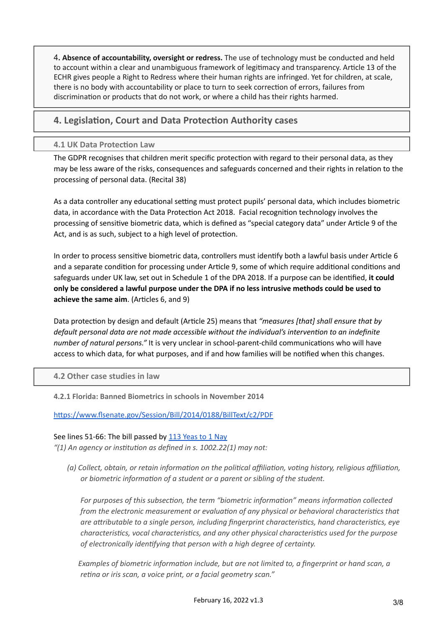4**. Absence of accountability, oversight or redress.** The use of technology must be conducted and held to account within a clear and unambiguous framework of legitimacy and transparency. Article 13 of the ECHR gives people a Right to Redress where their human rights are infringed. Yet for children, at scale, there is no body with accountability or place to turn to seek correction of errors, failures from discrimination or products that do not work, or where a child has their rights harmed.

### <span id="page-2-0"></span>**4. Legislation, Court and Data Protection Authority cases**

#### <span id="page-2-1"></span>**4.1 UK Data Protection Law**

The GDPR recognises that children merit specific protection with regard to their personal data, as they may be less aware of the risks, consequences and safeguards concerned and their rights in relation to the processing of personal data. (Recital 38)

As a data controller any educational setting must protect pupils' personal data, which includes biometric data, in accordance with the Data Protection Act 2018. Facial recognition technology involves the processing of sensitive biometric data, which is defined as "special category data" under Article 9 of the Act, and is as such, subject to a high level of protection.

In order to process sensitive biometric data, controllers must identify both a lawful basis under Article 6 and a separate condition for processing under Article 9, some of which require additional conditions and safeguards under UK law, set out in Schedule 1 of the DPA 2018. If a purpose can be identified, **it could only be considered a lawful purpose under the DPA if no less intrusive methods could be used to achieve the same aim**. (Articles 6, and 9)

Data protection by design and default (Article 25) means that *"measures [that] shall ensure that by default personal data are not made accessible without the individual's intervention to an indefinite number of natural persons."* It is very unclear in school-parent-child communications who will have access to which data, for what purposes, and if and how families will be notified when this changes.

#### <span id="page-2-2"></span>**4.2 Other case studies in law**

<span id="page-2-3"></span>**4.2.1 Florida: Banned Biometrics in schools in November 2014**

<https://www.flsenate.gov/Session/Bill/2014/0188/BillText/c2/PDF>

#### See lines 51-66: The bill passed by [113 Yeas to 1 Nay](https://www.flsenate.gov/Session/Bill/2014/0188/Vote/HouseVote_s0188c2583.PDF)

*"(1) An agency or institution as defined in s. 1002.22(1) may not:*

*(a) Collect, obtain, or retain information on the political affiliation, voting history, religious affiliation, or biometric information of a student or a parent or sibling of the student.*

*For purposes of this subsection, the term "biometric information" means information collected from the electronic measurement or evaluation of any physical or behavioral characteristics that are attributable to a single person, including fingerprint characteristics, hand characteristics, eye characteristics, vocal characteristics, and any other physical characteristics used for the purpose of electronically identifying that person with a high degree of certainty.*

 *Examples of biometric information include, but are not limited to, a fingerprint or hand scan, a retina or iris scan, a voice print, or a facial geometry scan."*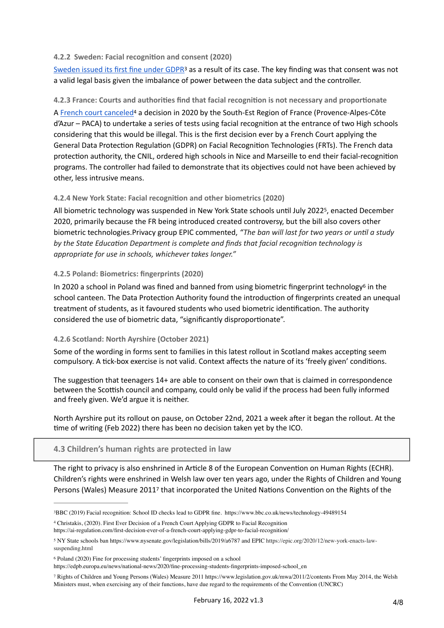#### <span id="page-3-0"></span>**4.2.2 Sweden: Facial recognition and consent (2020)**

<span id="page-3-11"></span>[Sweden issued its first fine under GDPR](https://www.bbc.co.uk/news/technology-49489154)<sup>3</sup>as a result of its case. The key finding was that consent was not a valid legal basis given the imbalance of power between the data subject and the controller.

#### <span id="page-3-1"></span>**4.2.3 France: Courts and authorities find that facial recognition is not necessary and proportionate**

<span id="page-3-12"></span>[A French court canceled](https://forum.technopolice.fr/assets/uploads/files/1582802422930-1090394890_1901249.pdf)<sup>[4](#page-3-7)</sup> a decision in 2020 by the South-Est Region of France (Provence-Alpes-Côte d'Azur – PACA) to undertake a series of tests using facial recognition at the entrance of two High schools considering that this would be illegal. This is the first decision ever by a French Court applying the General Data Protection Regulation (GDPR) on Facial Recognition Technologies (FRTs). The French data protection authority, the CNIL, ordered high schools in Nice and Marseille to end their facial-recognition programs. The controller had failed to demonstrate that its objectives could not have been achieved by other, less intrusive means.

#### <span id="page-3-2"></span>**4.2.4 New York State: Facial recognition and other biometrics (2020)**

<span id="page-3-13"></span>All biometric technology was suspended in New York State schools until July 2022<sup>[5](#page-3-8)</sup>, enacted December 2020, primarily because the FR being introduced created controversy, but the bill also covers other biometric technologies.Privacy group EPIC commented, *"The ban will last for two years or until a study by the State Education Department is complete and finds that facial recognition technology is appropriate for use in schools, whichever takes longer."*

#### <span id="page-3-3"></span>**4.2.5 Poland: Biometrics: fingerprints (2020)**

<span id="page-3-14"></span>In 2020 a school in Poland was fined and banned from using biometric fingerprint technology<sup>[6](#page-3-9)</sup> in the school canteen. The Data Protection Authority found the introduction of fingerprints created an unequal treatment of students, as it favoured students who used biometric identification. The authority considered the use of biometric data, "significantly disproportionate".

#### <span id="page-3-4"></span>**4.2.6 Scotland: North Ayrshire (October 2021)**

Some of the wording in forms sent to families in this latest rollout in Scotland makes accepting seem compulsory. A tick-box exercise is not valid. Context affects the nature of its 'freely given' conditions.

The suggestion that teenagers 14+ are able to consent on their own that is claimed in correspondence between the Scottish council and company, could only be valid if the process had been fully informed and freely given. We'd argue it is neither.

North Ayrshire put its rollout on pause, on October 22nd, 2021 a week after it began the rollout. At the time of writing (Feb 2022) there has been no decision taken yet by the ICO.

#### <span id="page-3-5"></span>**4.3 Children's human rights are protected in law**

<span id="page-3-15"></span>The right to privacy is also enshrined in Article 8 of the European Convention on Human Rights (ECHR). Children's rights were enshrined in Welsh law over ten years ago, under the Rights of Children and Young Persons (Wales) Measure 2011<sup>[7](#page-3-10)</sup> that incorporated the United Nations Convention on the Rights of the

<span id="page-3-6"></span>[<sup>3</sup>B](#page-3-11)BC (2019) Facial recognition: School ID checks lead to GDPR fine. https://www.bbc.co.uk/news/technology-49489154

<span id="page-3-7"></span>[<sup>4</sup>](#page-3-12) Christakis, (2020). First Ever Decision of a French Court Applying GDPR to Facial Recognition https://ai-regulation.com/first-decision-ever-of-a-french-court-applying-gdpr-to-facial-recognition/

<span id="page-3-8"></span>NY State schools ban https://www.nysenate.gov/legislation/bills/2019/a6787 and EPIC https://epic.org/2020/12/new-york-enacts-law- [5](#page-3-13) suspending.html

<span id="page-3-9"></span><sup>&</sup>lt;sup>6</sup>Poland (2020) Fine for processing students' fingerprints imposed on a school

https://edpb.europa.eu/news/national-news/2020/fine-processing-students-fingerprints-imposed-school\_en

<span id="page-3-10"></span>Rights of Children and Young Persons (Wales) Measure 2011 https://www.legislation.gov.uk/mwa/2011/2/contents From May 2014, the Welsh [7](#page-3-15) Ministers must, when exercising any of their functions, have due regard to the requirements of the Convention (UNCRC)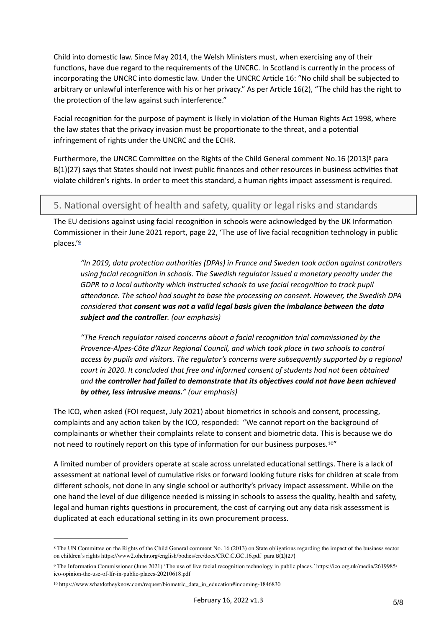Child into domestic law. Since May 2014, the Welsh Ministers must, when exercising any of their functions, have due regard to the requirements of the UNCRC. In Scotland is currently in the process of incorporating the UNCRC into domestic law. Under the UNCRC Article 16: "No child shall be subjected to arbitrary or unlawful interference with his or her privacy." As per Article 16(2), "The child has the right to the protection of the law against such interference."

Facial recognition for the purpose of payment is likely in violation of the Human Rights Act 1998, where the law states that the privacy invasion must be proportionate to the threat, and a potential infringement of rights under the UNCRC and the ECHR.

Furthermore, the UNCRC Committee on the Rights of the Child General comment No.16 (2013)<sup>[8](#page-4-1)</sup> para B(1)(27) says that States should not invest public finances and other resources in business activities that violate children's rights. In order to meet this standard, a human rights impact assessment is required.

### <span id="page-4-0"></span>5. National oversight of health and safety, quality or legal risks and standards

The EU decisions against using facial recognition in schools were acknowledged by the UK Information Commissioner in their June 2021 report, page 22[, '](https://ico.org.uk/media/2619985/ico-opinion-the-use-of-lfr-in-public-places-20210618.pdf)The use of live facial recognition technology in public places.'[9](#page-4-2)

<span id="page-4-5"></span><span id="page-4-4"></span>*"In 2019, data protection authorities (DPAs) in France and Sweden took action against controllers using facial recognition in schools. The Swedish regulator issued a monetary penalty under the GDPR to a local authority which instructed schools to use facial recognition to track pupil attendance. The school had sought to base the processing on consent. However, the Swedish DPA considered that consent was not a valid legal basis given the imbalance between the data subject and the controller. (our emphasis)*

<span id="page-4-6"></span>*"The French regulator raised concerns about a facial recognition trial commissioned by the Provence-Alpes-Côte d'Azur Regional Council, and which took place in two schools to control access by pupils and visitors. The regulator's concerns were subsequently supported by a regional court in 2020. It concluded that free and informed consent of students had not been obtained and the controller had failed to demonstrate that its objectives could not have been achieved by other, less intrusive means." (our emphasis)*

The ICO, when asked (FOI request, July 2021) about biometrics in schools and consent, processing, complaints and any action taken by the ICO, responded: "We cannot report on the background of complainants or whether their complaints relate to consent and biometric data. This is because we do not need to routinely report on this type of information for our business purposes.<sup>[10](#page-4-3)"</sup>

A limited number of providers operate at scale across unrelated educational settings. There is a lack of assessment at national level of cumulative risks or forward looking future risks for children at scale from different schools, not done in any single school or authority's privacy impact assessment. While on the one hand the level of due diligence needed is missing in schools to assess the quality, health and safety, legal and human rights questions in procurement, the cost of carrying out any data risk assessment is duplicated at each educational setting in its own procurement process.

<span id="page-4-1"></span><sup>&</sup>lt;sup>8</sup>The UN Committee on the Rights of the Child General comment No. 16 (2013) on State obligations regarding the impact of the business sector on children's rights https://www2.ohchr.org/english/bodies/crc/docs/CRC.C.GC.16.pdf para B(1)(27)

<span id="page-4-2"></span>The Information Commissioner (June 2021) 'The use of live facial recognition technology in public places.' https://ico.org.uk/media/2619985/ [9](#page-4-5) ico-opinion-the-use-of-lfr-in-public-places-20210618.pdf

<span id="page-4-3"></span>[<sup>10</sup>](#page-4-6) https://www.whatdotheyknow.com/request/biometric\_data\_in\_education#incoming-1846830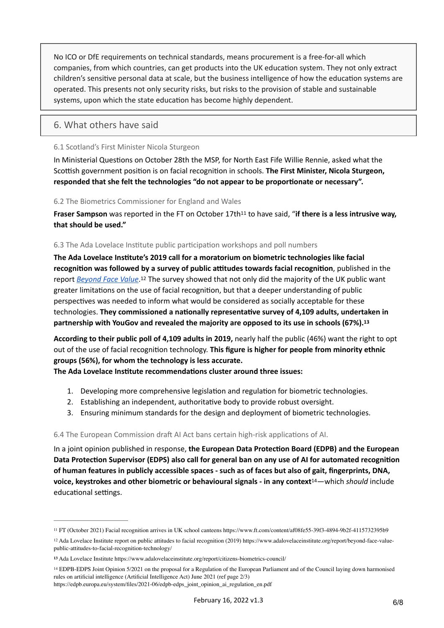No ICO or DfE requirements on technical standards, means procurement is a free-for-all which companies, from which countries, can get products into the UK education system. They not only extract children's sensitive personal data at scale, but the business intelligence of how the education systems are operated. This presents not only security risks, but risks to the provision of stable and sustainable systems, upon which the state education has become highly dependent.

### <span id="page-5-0"></span>6. What others have said

#### <span id="page-5-1"></span>6.1 Scotland's First Minister Nicola Sturgeon

In Ministerial Questions on October 28th the MSP, for North East Fife Willie Rennie, asked what the Scottish government position is on facial recognition in schools. **The First Minister, Nicola Sturgeon, responded that she felt the technologies "do not appear to be proportionate or necessary".**

#### <span id="page-5-2"></span>6.2 The Biometrics Commissioner for England and Wales

<span id="page-5-8"></span>**Fraser Sampson** was reported in the FT on October 17th<sup>11</sup> to have said, "if there is a less intrusive way, **that should be used."**

#### <span id="page-5-3"></span>6.3 The Ada Lovelace Institute public participation workshops and poll numbers

<span id="page-5-9"></span>**The Ada Lovelace Institute's 2019 call for a moratorium on biometric technologies like facial recognition was followed by a survey of public attitudes towards facial recognition**, published in the repor[t](https://www.adalovelaceinstitute.org/report/beyond-face-value-public-attitudes-to-facial-recognition-technology/) *[Beyond Face Value](https://www.adalovelaceinstitute.org/report/beyond-face-value-public-attitudes-to-facial-recognition-technology/)*.<sup>[12](#page-5-5)</sup> The survey showed that not only did the majority of the UK public want greater limitations on the use of facial recognition, but that a deeper understanding of public perspectives was needed to inform what would be considered as socially acceptable for these technologies. **They commissioned a nationally representative survey of 4,109 adults, undertaken in partnership with YouGov and revealed the majority are opposed to its use in schools (67%).[13](#page-5-6)**

**According to their public poll of 4,109 adults in 2019,** nearly half the public (46%) want the right to opt out of the use of facial recognition technology. **This figure is higher for people from minority ethnic groups (56%), for whom the technology is less accurate.**

**The Ada Lovelace Institute recommendations cluster around three issues:**

- <span id="page-5-10"></span>1. Developing more comprehensive legislation and regulation for biometric technologies.
- 2. Establishing an independent, authoritative body to provide robust oversight.
- <span id="page-5-11"></span>3. Ensuring minimum standards for the design and deployment of biometric technologies.

#### 6.4 The European Commission draft AI Act bans certain high-risk applications of AI.

In a joint opinion published in response, **the European Data Protection Board (EDPB) and the European Data Protection Supervisor (EDPS) also call for general ban on any use of AI for automated recognition of human features in publicly accessible spaces - such as of faces but also of gait, fingerprints, DNA, voice, keystrokes and other biometric or behavioural signals - in any context<sup>[14](#page-5-7)</sup>—which** *should* **include** educational settings.

<span id="page-5-4"></span>[<sup>11</sup>](#page-5-8) FT (October 2021) Facial recognition arrives in UK school canteens https://www.ft.com/content/af08fe55-39f3-4894-9b2f-4115732395b9

<span id="page-5-5"></span><sup>&</sup>lt;sup>[12](#page-5-9)</sup> Ada Lovelace Institute report on public attitudes to facial recognition (2019) https://www.adalovelaceinstitute.org/report/beyond-face-valuepublic-attitudes-to-facial-recognition-technology/

<span id="page-5-6"></span>Ada Lovelace Institute https://www.adalovelaceinstitute.org/report/citizens-biometrics-council/ **[13](#page-5-10)**

<span id="page-5-7"></span><sup>&</sup>lt;sup>[14](#page-5-11)</sup> EDPB-EDPS Joint Opinion 5/2021 on the proposal for a Regulation of the European Parliament and of the Council laying down harmonised rules on artificial intelligence (Artificial Intelligence Act) June 2021 (ref page 2/3)

https://edpb.europa.eu/system/files/2021-06/edpb-edps\_joint\_opinion\_ai\_regulation\_en.pdf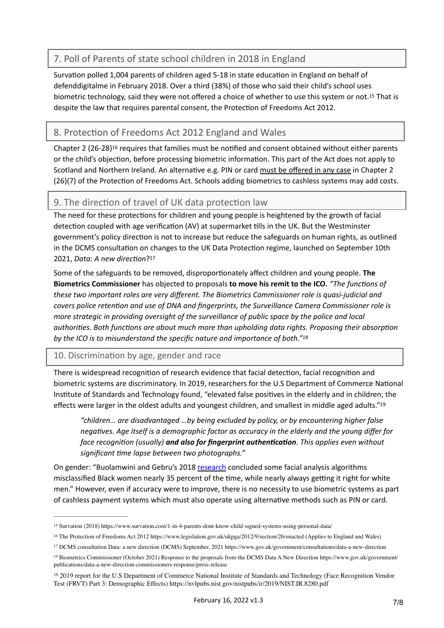### <span id="page-6-0"></span>7. Poll of Parents of state school children in 2018 in England

<span id="page-6-8"></span>Survation polled 1,004 parents of children aged 5-18 in state education in England on behalf of defenddigitalme in February 2018. Over a third (38%) of those who said their child's school uses biometric technology, said they were not offered a choice of whether to use this system or not[.](#page-6-3)<sup>[15](#page-6-3)</sup> That is despite the law that requires parental consent, the Protection of Freedoms Act 2012.

## <span id="page-6-1"></span>8. Protection of Freedoms Act 2012 England and Wales

<span id="page-6-9"></span>Chapter 2  $(26-28)^{16}$  $(26-28)^{16}$  $(26-28)^{16}$  requires that families must be notified and consent obtained without either parents or the child's objection, before processing biometric information. This part of the Act does not apply to Scotland and Northern Ireland. An alternative e.g. PIN or card must be offered in any case in Chapter 2 (26)(7) of the Protection of Freedoms Act. Schools adding biometrics to cashless systems may add costs.

### <span id="page-6-2"></span>9. The direction of travel of UK data protection law

The need for these protections for children and young people is heightened by the growth of facial detection coupled with age verification (AV) at supermarket tills in the UK. But the Westminster government's policy direction is not to increase but reduce the safeguards on human rights, as outlined in the DCMS consultation on changes to the UK Data Protection regime, launched on September 10th 2021, *Data: A new direction*?<sup>[17](#page-6-5)</sup>

<span id="page-6-10"></span>Some of the safeguards to be removed, disproportionately affect children and young people. **The Biometrics Commissioner** has objected to proposals **to move his remit to the ICO.** *"The functions of these two important roles are very different. The Biometrics Commissioner role is quasi-judicial and covers police retention and use of DNA and fingerprints, the Surveillance Camera Commissioner role is more strategic in providing oversight of the surveillance of public space by the police and local authorities. Both functions are about much more than upholding data rights. Proposing their absorption by the ICO is to misunderstand the specific nature and importance of both."[18](#page-6-6)*

### 10. Discrimination by age, gender and race

There is widespread recognition of research evidence that facial detection, facial recognition and biometric systems are discriminatory. In 2019, researchers for the U.S Department of Commerce National Institute of Standards and Technology found, "elevated false positives in the elderly and in children; the effects were larger in the oldest adults and youngest children, and smallest in middle aged adults."[19](#page-6-7)

<span id="page-6-12"></span><span id="page-6-11"></span>*"children… are disadvantaged …by being excluded by policy, or by encountering higher false negatives. Age itself is a demographic factor as accuracy in the elderly and the young differ for face recognition (usually) and also for fingerprint authentication. This applies even without significant time lapse between two photographs."*

On gender: "Buolamwini and Gebru's 2018 [research](http://proceedings.mlr.press/v81/buolamwini18a.html) concluded some facial analysis algorithms misclassified Black women nearly 35 percent of the time, while nearly always getting it right for white men." However, even if accuracy were to improve, there is no necessity to use biometric systems as part of cashless payment systems which must also operate using alternative methods such as PIN or card.

<span id="page-6-3"></span>Survation (2018) https://www.survation.com/1-in-4-parents-dont-know-child-signed-systems-using-personal-data/ [15](#page-6-8)

<span id="page-6-4"></span><sup>&</sup>lt;sup>[16](#page-6-9)</sup> The Protection of Freedoms Act 2012 https://www.legislation.gov.uk/ukpga/2012/9/section/26/enacted (Applies to England and Wales)

<span id="page-6-5"></span>[<sup>17</sup>](#page-6-10) DCMS consultation Data: a new direction (DCMS) September, 2021 https://www.gov.uk/government/consultations/data-a-new-direction

<span id="page-6-6"></span>Biometrics Commissioner (October 2021) Response to the proposals from the DCMS Data A New Direction https://www.gov.uk/government/ *[18](#page-6-11)* publications/data-a-new-direction-commissioners-response/press-release

<span id="page-6-7"></span><sup>&</sup>lt;sup>[19](#page-6-12)</sup> 2019 report for the U.S Department of Commerce National Institute of Standards and Technology (Face Recognition Vendor Test (FRVT) Part 3: Demographic Effects) https://nvlpubs.nist.gov/nistpubs/ir/2019/NIST.IR.8280.pdf